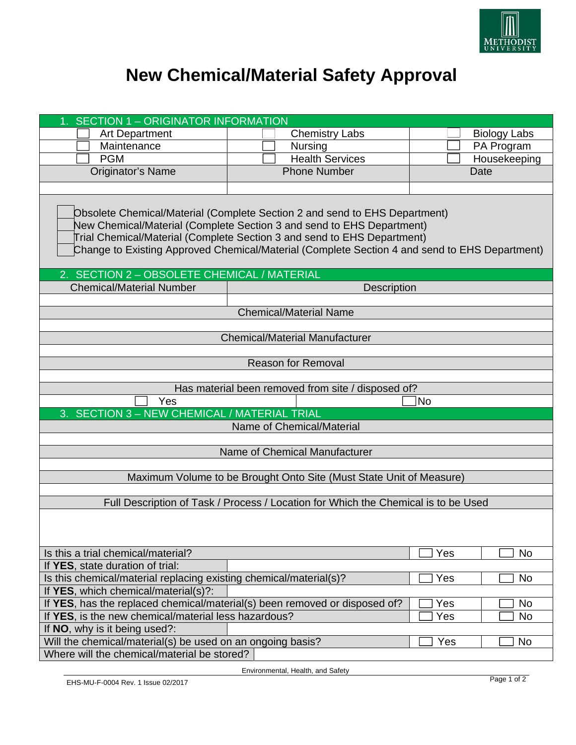

## **New Chemical/Material Safety Approval**

| <b>SECTION 1 - ORIGINATOR INFORMATION</b>                                                                                                                                                                                                                                                                                                                                      |                               |                     |
|--------------------------------------------------------------------------------------------------------------------------------------------------------------------------------------------------------------------------------------------------------------------------------------------------------------------------------------------------------------------------------|-------------------------------|---------------------|
| <b>Art Department</b>                                                                                                                                                                                                                                                                                                                                                          | <b>Chemistry Labs</b>         | <b>Biology Labs</b> |
| Maintenance                                                                                                                                                                                                                                                                                                                                                                    | Nursing                       | PA Program          |
| <b>PGM</b>                                                                                                                                                                                                                                                                                                                                                                     | <b>Health Services</b>        | Housekeeping        |
| Originator's Name                                                                                                                                                                                                                                                                                                                                                              | <b>Phone Number</b>           | <b>Date</b>         |
|                                                                                                                                                                                                                                                                                                                                                                                |                               |                     |
| Obsolete Chemical/Material (Complete Section 2 and send to EHS Department)<br>New Chemical/Material (Complete Section 3 and send to EHS Department)<br>Trial Chemical/Material (Complete Section 3 and send to EHS Department)<br>Change to Existing Approved Chemical/Material (Complete Section 4 and send to EHS Department)<br>2. SECTION 2 - OBSOLETE CHEMICAL / MATERIAL |                               |                     |
| <b>Chemical/Material Number</b>                                                                                                                                                                                                                                                                                                                                                | <b>Description</b>            |                     |
|                                                                                                                                                                                                                                                                                                                                                                                |                               |                     |
| <b>Chemical/Material Name</b>                                                                                                                                                                                                                                                                                                                                                  |                               |                     |
|                                                                                                                                                                                                                                                                                                                                                                                |                               |                     |
| <b>Chemical/Material Manufacturer</b>                                                                                                                                                                                                                                                                                                                                          |                               |                     |
|                                                                                                                                                                                                                                                                                                                                                                                |                               |                     |
| <b>Reason for Removal</b>                                                                                                                                                                                                                                                                                                                                                      |                               |                     |
|                                                                                                                                                                                                                                                                                                                                                                                |                               |                     |
| Has material been removed from site / disposed of?                                                                                                                                                                                                                                                                                                                             |                               |                     |
| No<br>Yes                                                                                                                                                                                                                                                                                                                                                                      |                               |                     |
| 3. SECTION 3 - NEW CHEMICAL / MATERIAL TRIAL                                                                                                                                                                                                                                                                                                                                   |                               |                     |
| Name of Chemical/Material                                                                                                                                                                                                                                                                                                                                                      |                               |                     |
|                                                                                                                                                                                                                                                                                                                                                                                | Name of Chemical Manufacturer |                     |
|                                                                                                                                                                                                                                                                                                                                                                                |                               |                     |
| Maximum Volume to be Brought Onto Site (Must State Unit of Measure)                                                                                                                                                                                                                                                                                                            |                               |                     |
|                                                                                                                                                                                                                                                                                                                                                                                |                               |                     |
| Full Description of Task / Process / Location for Which the Chemical is to be Used                                                                                                                                                                                                                                                                                             |                               |                     |
|                                                                                                                                                                                                                                                                                                                                                                                |                               |                     |
| Is this a trial chemical/material?                                                                                                                                                                                                                                                                                                                                             |                               | Yes<br><b>No</b>    |
| If YES, state duration of trial:                                                                                                                                                                                                                                                                                                                                               |                               |                     |
| Is this chemical/material replacing existing chemical/material(s)?                                                                                                                                                                                                                                                                                                             |                               | Yes<br><b>No</b>    |
| If YES, which chemical/material(s)?:                                                                                                                                                                                                                                                                                                                                           |                               |                     |
| If YES, has the replaced chemical/material(s) been removed or disposed of?<br>Yes<br>No                                                                                                                                                                                                                                                                                        |                               |                     |
| If YES, is the new chemical/material less hazardous?<br>Yes<br><b>No</b>                                                                                                                                                                                                                                                                                                       |                               |                     |
| If NO, why is it being used?:<br>Will the chemical/material(s) be used on an ongoing basis?<br>Yes<br><b>No</b>                                                                                                                                                                                                                                                                |                               |                     |
| Where will the chemical/material be stored?                                                                                                                                                                                                                                                                                                                                    |                               |                     |
|                                                                                                                                                                                                                                                                                                                                                                                |                               |                     |

Environmental, Health, and Safety